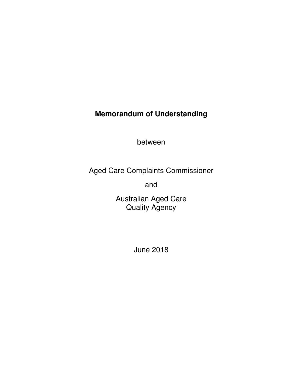# **Memorandum of Understanding**

between

Aged Care Complaints Commissioner

and

Australian Aged Care Quality Agency

June 2018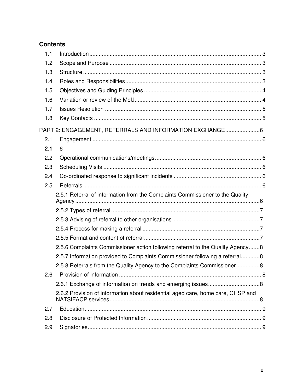# **Contents**

| 1.1 |                                                                                 |  |
|-----|---------------------------------------------------------------------------------|--|
| 1.2 |                                                                                 |  |
| 1.3 |                                                                                 |  |
| 1.4 |                                                                                 |  |
| 1.5 |                                                                                 |  |
| 1.6 |                                                                                 |  |
| 1.7 |                                                                                 |  |
| 1.8 |                                                                                 |  |
|     | PART 2: ENGAGEMENT, REFERRALS AND INFORMATION EXCHANGE6                         |  |
| 2.1 |                                                                                 |  |
| 2.1 | 6                                                                               |  |
| 2.2 |                                                                                 |  |
| 2.3 |                                                                                 |  |
| 2.4 |                                                                                 |  |
| 2.5 |                                                                                 |  |
|     | 2.5.1 Referral of information from the Complaints Commissioner to the Quality   |  |
|     |                                                                                 |  |
|     |                                                                                 |  |
|     |                                                                                 |  |
|     |                                                                                 |  |
|     | 2.5.6 Complaints Commissioner action following referral to the Quality Agency8  |  |
|     | 2.5.7 Information provided to Complaints Commissioner following a referral8     |  |
|     | 2.5.8 Referrals from the Quality Agency to the Complaints Commissioner8         |  |
| 2.6 |                                                                                 |  |
|     |                                                                                 |  |
|     |                                                                                 |  |
|     | 2.6.2 Provision of information about residential aged care, home care, CHSP and |  |
| 2.7 |                                                                                 |  |
| 2.8 |                                                                                 |  |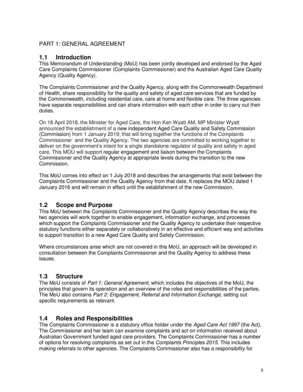### PART 1: GENERAL AGREEMENT

### **1.1 Introduction**

This Memorandum of Understanding (MoU) has been jointly developed and endorsed by the Aged Care Complaints Commissioner (Complaints Commissioner) and the Australian Aged Care Quality Agency (Quality Agency).

The Complaints Commissioner and the Quality Agency, along with the Commonwealth Department of Health, share responsibility for the quality and safety of aged care services that are funded by the Commonwealth, including residential care, care at home and flexible care. The three agencies have separate responsibilities and can share information with each other in order to carry out their duties.

On 18 April 2018, the Minister for Aged Care, the Hon Ken Wyatt AM, MP Minister Wyatt announced the establishment of a new independent Aged Care Quality and Safety Commission (Commission) from 1 January 2019; that will bring together the functions of the Complaints Commissioner and the Quality Agency. The two agencies are committed to working together to deliver on the government's intent for a single standalone regulator of quality and safety in aged care. This MOU will support regular engagement and liaison between the Complaints Commissioner and the Quality Agency at appropriate levels during the transition to the new Commission.

This MoU comes into effect on 1 July 2018 and describes the arrangements that exist between the Complaints Commissioner and the Quality Agency from that date. It replaces the MOU dated 1 January 2016 and will remain in effect until the establishment of the new Commission.

# **1.2 Scope and Purpose**

This MoU between the Complaints Commissioner and the Quality Agency describes the way the two agencies will work together to enable engagement, information exchange, and processes which support the Complaints Commissioner and the Quality Agency to undertake their respective statutory functions either separately or collaboratively in an effective and efficient way and activities to support transition to a new Aged Care Quality and Safety Commission.

Where circumstances arise which are not covered in this MoU, an approach will be developed in consultation between the Complaints Commissioner and the Quality Agency to address these issues.

# **1.3 Structure**

The MoU consists of Part 1: General Agreement, which includes the objectives of the MoU, the principles that govern its operation and an overview of the roles and responsibilities of the parties. The MoU also contains Part 2: Engagement, Referral and Information Exchange, setting out specific requirements as relevant.

# **1.4 Roles and Responsibilities**

The Complaints Commissioner is a statutory office holder under the Aged Care Act 1997 (the Act). The Commissioner and her team can examine complaints and act on information received about Australian Government funded aged care providers. The Complaints Commissioner has a number of options for resolving complaints as set out in the Complaints Principles 2015. This includes making referrals to other agencies. The Complaints Commissioner also has a responsibility for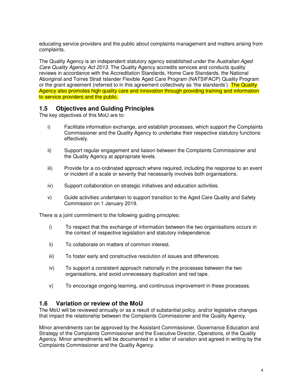educating service providers and the public about complaints management and matters arising from complaints.

The Quality Agency is an independent statutory agency established under the Australian Aged Care Quality Agency Act 2013. The Quality Agency accredits services and conducts quality reviews in accordance with the Accreditation Standards, Home Care Standards, the National Aboriginal and Torres Strait Islander Flexible Aged Care Program (NATSIFACP) Quality Program or the grant agreement (referred to in this agreement collectively as 'the standards'). The Quality Agency also promotes high quality care and innovation through providing training and information to service providers and the public.

### **1.5 Objectives and Guiding Principles**

The key objectives of this MoU are to:

- i) Facilitate information exchange, and establish processes, which support the Complaints Commissioner and the Quality Agency to undertake their respective statutory functions effectively.
- ii) Support regular engagement and liaison between the Complaints Commissioner and the Quality Agency at appropriate levels.
- iii) Provide for a co-ordinated approach where required, including the response to an event or incident of a scale or severity that necessarily involves both organisations.
- iv) Support collaboration on strategic initiatives and education activities.
- v) Guide activities undertaken to support transition to the Aged Care Quality and Safety Commission on 1 January 2019.

There is a joint commitment to the following guiding principles:

- i) To respect that the exchange of information between the two organisations occurs in the context of respective legislation and statutory independence.
- ii) To collaborate on matters of common interest.
- iii) To foster early and constructive resolution of issues and differences.
- iv) To support a consistent approach nationally in the processes between the two organisations, and avoid unnecessary duplication and red tape.
- v) To encourage ongoing learning, and continuous improvement in these processes.

### **1.6 Variation or review of the MoU**

The MoU will be reviewed annually or as a result of substantial policy, and/or legislative changes that impact the relationship between the Complaints Commissioner and the Quality Agency.

Minor amendments can be approved by the Assistant Commissioner, Governance Education and Strategy of the Complaints Commissioner and the Executive Director, Operations, of the Quality Agency. Minor amendments will be documented in a letter of variation and agreed in writing by the Complaints Commissioner and the Quality Agency.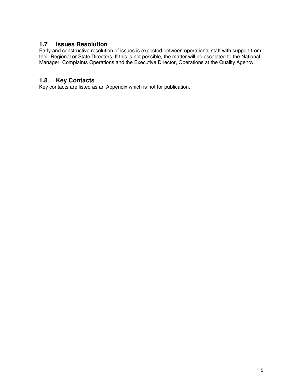### **1.7 Issues Resolution**

Early and constructive resolution of issues is expected between operational staff with support from their Regional or State Directors. If this is not possible, the matter will be escalated to the National Manager, Complaints Operations and the Executive Director, Operations at the Quality Agency.

# **1.8 Key Contacts**

Key contacts are listed as an Appendix which is not for publication.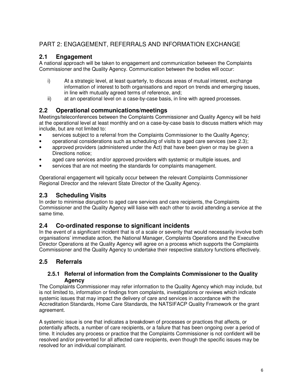# PART 2: ENGAGEMENT, REFERRALS AND INFORMATION EXCHANGE

### **2.1 Engagement**

A national approach will be taken to engagement and communication between the Complaints Commissioner and the Quality Agency. Communication between the bodies will occur:

- i) At a strategic level, at least quarterly, to discuss areas of mutual interest, exchange information of interest to both organisations and report on trends and emerging issues, in line with mutually agreed terms of reference, and;
- ii) at an operational level on a case-by-case basis, in line with agreed processes.

### **2.2 Operational communications/meetings**

Meetings/teleconferences between the Complaints Commissioner and Quality Agency will be held at the operational level at least monthly and on a case-by-case basis to discuss matters which may include, but are not limited to:

- services subject to a referral from the Complaints Commissioner to the Quality Agency;
- operational considerations such as scheduling of visits to aged care services (see 2.3);
- approved providers (administered under the Act) that have been given or may be given a Directions notice;
- aged care services and/or approved providers with systemic or multiple issues, and
- services that are not meeting the standards for complaints management.

Operational engagement will typically occur between the relevant Complaints Commissioner Regional Director and the relevant State Director of the Quality Agency.

### **2.3 Scheduling Visits**

In order to minimise disruption to aged care services and care recipients, the Complaints Commissioner and the Quality Agency will liaise with each other to avoid attending a service at the same time.

### **2.4 Co-ordinated response to significant incidents**

In the event of a significant incident that is of a scale or severity that would necessarily involve both organisations' immediate action, the National Manager, Complaints Operations and the Executive Director Operations at the Quality Agency will agree on a process which supports the Complaints Commissioner and the Quality Agency to undertake their respective statutory functions effectively.

# **2.5 Referrals**

#### **2.5.1 Referral of information from the Complaints Commissioner to the Quality Agency**

The Complaints Commissioner may refer information to the Quality Agency which may include, but is not limited to, information or findings from complaints, investigations or reviews which indicate systemic issues that may impact the delivery of care and services in accordance with the Accreditation Standards, Home Care Standards, the NATSIFACP Quality Framework or the grant agreement.

A systemic issue is one that indicates a breakdown of processes or practices that affects, or potentially affects, a number of care recipients, or a failure that has been ongoing over a period of time. It includes any process or practice that the Complaints Commissioner is not confident will be resolved and/or prevented for all affected care recipients, even though the specific issues may be resolved for an individual complainant.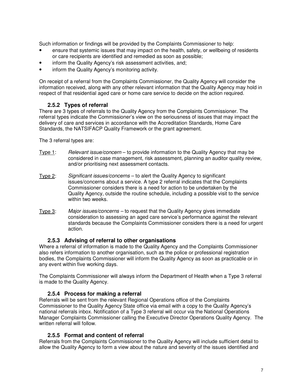Such information or findings will be provided by the Complaints Commissioner to help:

- ensure that systemic issues that may impact on the health, safety, or wellbeing of residents or care recipients are identified and remedied as soon as possible;
- inform the Quality Agency's risk assessment activities, and;
- inform the Quality Agency's monitoring activity.

On receipt of a referral from the Complaints Commissioner, the Quality Agency will consider the information received, along with any other relevant information that the Quality Agency may hold in respect of that residential aged care or home care service to decide on the action required.

### **2.5.2 Types of referral**

There are 3 types of referrals to the Quality Agency from the Complaints Commissioner. The referral types indicate the Commissioner's view on the seriousness of issues that may impact the delivery of care and services in accordance with the Accreditation Standards, Home Care Standards, the NATSIFACP Quality Framework or the grant agreement.

The 3 referral types are:

- Type 1: Relevant issue/concern to provide information to the Quality Agency that may be considered in case management, risk assessment, planning an auditor quality review, and/or prioritising next assessment contacts.
- Type 2: Significant issues/concerns to alert the Quality Agency to significant issues/concerns about a service. A type 2 referral indicates that the Complaints Commissioner considers there is a need for action to be undertaken by the Quality Agency, outside the routine schedule, including a possible visit to the service within two weeks.
- Type 3: Major issues/concerns to request that the Quality Agency gives immediate consideration to assessing an aged care service's performance against the relevant standards because the Complaints Commissioner considers there is a need for urgent action.

#### **2.5.3 Advising of referral to other organisations**

Where a referral of information is made to the Quality Agency and the Complaints Commissioner also refers information to another organisation, such as the police or professional registration bodies, the Complaints Commissioner will inform the Quality Agency as soon as practicable or in any event within five working days.

The Complaints Commissioner will always inform the Department of Health when a Type 3 referral is made to the Quality Agency.

#### **2.5.4 Process for making a referral**

Referrals will be sent from the relevant Regional Operations office of the Complaints Commissioner to the Quality Agency State office via email with a copy to the Quality Agency's national referrals inbox. Notification of a Type 3 referral will occur via the National Operations Manager Complaints Commissioner calling the Executive Director Operations Quality Agency. The written referral will follow.

#### **2.5.5 Format and content of referral**

Referrals from the Complaints Commissioner to the Quality Agency will include sufficient detail to allow the Quality Agency to form a view about the nature and severity of the issues identified and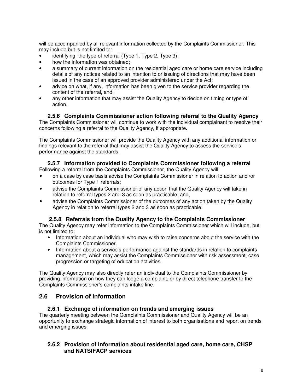will be accompanied by all relevant information collected by the Complaints Commissioner. This may include but is not limited to:

- identifying the type of referral (Type 1, Type 2, Type 3);
- how the information was obtained;
- a summary of current information on the residential aged care or home care service including details of any notices related to an intention to or issuing of directions that may have been issued in the case of an approved provider administered under the Act;
- advice on what, if any, information has been given to the service provider regarding the content of the referral, and;
- any other information that may assist the Quality Agency to decide on timing or type of action.

#### **2.5.6 Complaints Commissioner action following referral to the Quality Agency**

The Complaints Commissioner will continue to work with the individual complainant to resolve their concerns following a referral to the Quality Agency, if appropriate.

The Complaints Commissioner will provide the Quality Agency with any additional information or findings relevant to the referral that may assist the Quality Agency to assess the service's performance against the standards.

### **2.5.7 Information provided to Complaints Commissioner following a referral**

Following a referral from the Complaints Commissioner, the Quality Agency will:

- on a case by case basis advise the Complaints Commissioner in relation to action and /or outcomes for Type 1 referrals;
- advise the Complaints Commissioner of any action that the Quality Agency will take in relation to referral types 2 and 3 as soon as practicable; and,
- advise the Complaints Commissioner of the outcomes of any action taken by the Quality Agency in relation to referral types 2 and 3 as soon as practicable.

#### **2.5.8 Referrals from the Quality Agency to the Complaints Commissioner**

The Quality Agency may refer information to the Complaints Commissioner which will include, but is not limited to:

- Information about an individual who may wish to raise concerns about the service with the Complaints Commissioner.
- Information about a service's performance against the standards in relation to complaints management, which may assist the Complaints Commissioner with risk assessment, case progression or targeting of education activities.

The Quality Agency may also directly refer an individual to the Complaints Commissioner by providing information on how they can lodge a complaint, or by direct telephone transfer to the Complaints Commissioner's complaints intake line.

### **2.6 Provision of information**

#### **2.6.1 Exchange of information on trends and emerging issues**

The quarterly meeting between the Complaints Commissioner and Quality Agency will be an opportunity to exchange strategic information of interest to both organisations and report on trends and emerging issues.

### **2.6.2 Provision of information about residential aged care, home care, CHSP and NATSIFACP services**